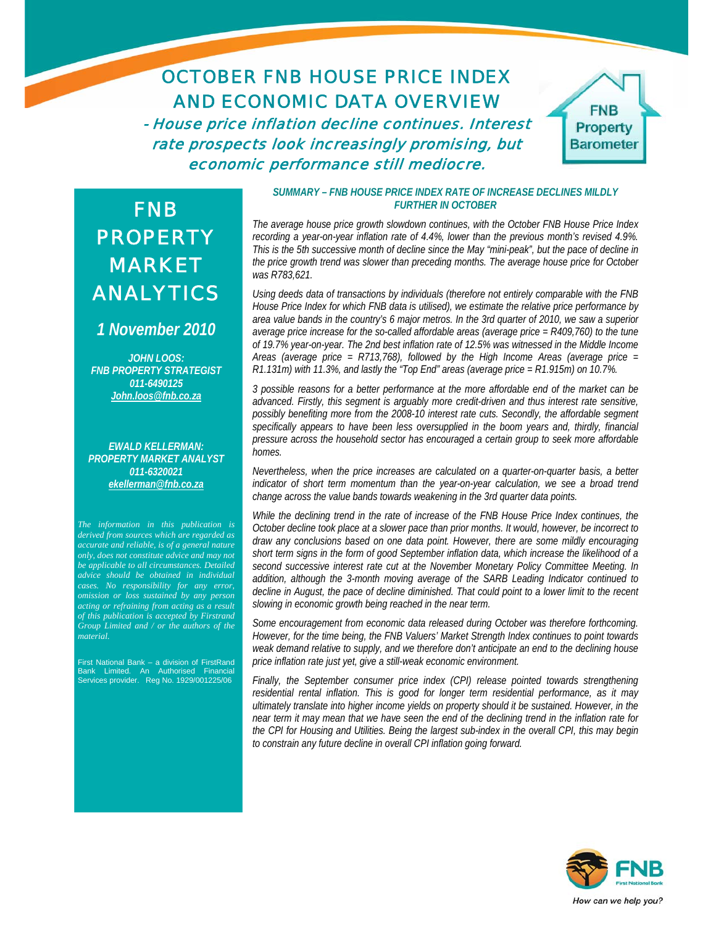# OCTOBER FNB HOUSE PRICE INDEX AND ECONOMIC DATA OVERVIEW

- House price inflation decline continues. Interest rate prospects look increasingly promising, but economic performance still mediocre.



# FNB PROPERTY MARKET ANALYTICS

## *1 November 2010*

*JOHN LOOS: FNB PROPERTY STRATEGIST 011-6490125 John.loos@fnb.co.za*

*EWALD KELLERMAN: PROPERTY MARKET ANALYST 011-6320021 ekellerman@fnb.co.za*

*The information in this publication is derived from sources which are regarded as accurate and reliable, is of a general nature only, does not constitute advice and may not be applicable to all circumstances. Detailed advice should be obtained in individual cases. No responsibility for any error, omission or loss sustained by any person acting or refraining from acting as a result of this publication is accepted by Firstrand Group Limited and / or the authors of the material.*

First National Bank – a division of FirstRand Bank Limited. An Authorised Financial Services provider. Reg No. 1929/001225/06

#### *SUMMARY – FNB HOUSE PRICE INDEX RATE OF INCREASE DECLINES MILDLY FURTHER IN OCTOBER*

*The average house price growth slowdown continues, with the October FNB House Price Index recording a year-on-year inflation rate of 4.4%, lower than the previous month's revised 4.9%. This is the 5th successive month of decline since the May "mini-peak", but the pace of decline in the price growth trend was slower than preceding months. The average house price for October was R783,621.* 

*Using deeds data of transactions by individuals (therefore not entirely comparable with the FNB House Price Index for which FNB data is utilised), we estimate the relative price performance by area value bands in the country's 6 major metros. In the 3rd quarter of 2010, we saw a superior average price increase for the so-called affordable areas (average price = R409,760) to the tune of 19.7% year-on-year. The 2nd best inflation rate of 12.5% was witnessed in the Middle Income Areas (average price = R713,768), followed by the High Income Areas (average price = R1.131m) with 11.3%, and lastly the "Top End" areas (average price = R1.915m) on 10.7%.* 

*3 possible reasons for a better performance at the more affordable end of the market can be advanced. Firstly, this segment is arguably more credit-driven and thus interest rate sensitive, possibly benefiting more from the 2008-10 interest rate cuts. Secondly, the affordable segment specifically appears to have been less oversupplied in the boom years and, thirdly, financial pressure across the household sector has encouraged a certain group to seek more affordable homes.* 

*Nevertheless, when the price increases are calculated on a quarter-on-quarter basis, a better indicator of short term momentum than the year-on-year calculation, we see a broad trend change across the value bands towards weakening in the 3rd quarter data points.* 

*While the declining trend in the rate of increase of the FNB House Price Index continues, the October decline took place at a slower pace than prior months. It would, however, be incorrect to draw any conclusions based on one data point. However, there are some mildly encouraging short term signs in the form of good September inflation data, which increase the likelihood of a second successive interest rate cut at the November Monetary Policy Committee Meeting. In addition, although the 3-month moving average of the SARB Leading Indicator continued to decline in August, the pace of decline diminished. That could point to a lower limit to the recent slowing in economic growth being reached in the near term.* 

*Some encouragement from economic data released during October was therefore forthcoming. However, for the time being, the FNB Valuers' Market Strength Index continues to point towards weak demand relative to supply, and we therefore don't anticipate an end to the declining house price inflation rate just yet, give a still-weak economic environment.* 

*Finally, the September consumer price index (CPI) release pointed towards strengthening residential rental inflation. This is good for longer term residential performance, as it may ultimately translate into higher income yields on property should it be sustained. However, in the near term it may mean that we have seen the end of the declining trend in the inflation rate for the CPI for Housing and Utilities. Being the largest sub-index in the overall CPI, this may begin to constrain any future decline in overall CPI inflation going forward.* 

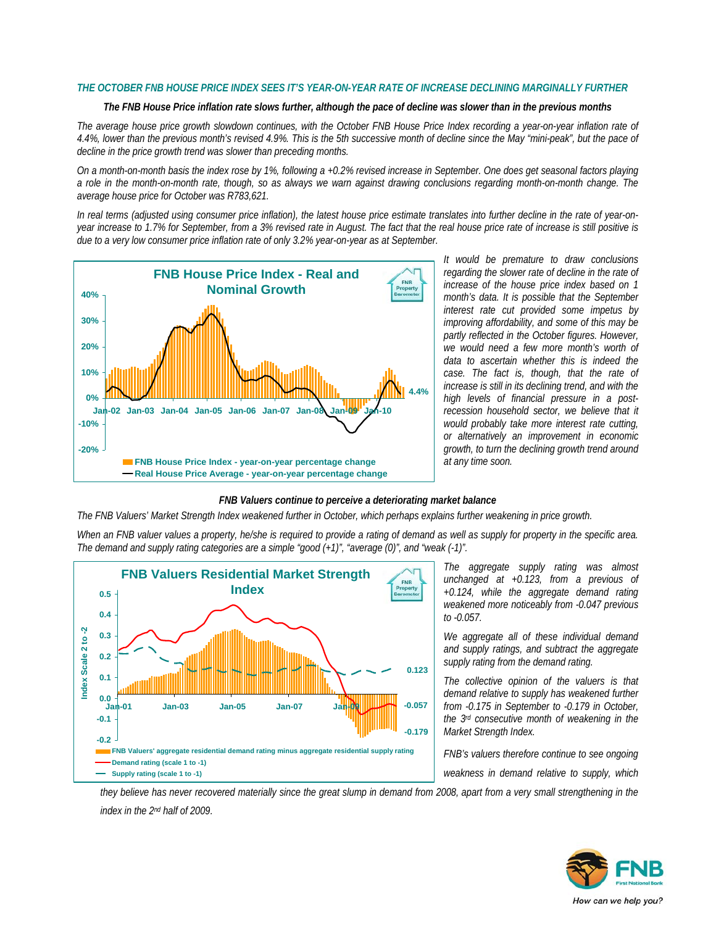#### *THE OCTOBER FNB HOUSE PRICE INDEX SEES IT'S YEAR-ON-YEAR RATE OF INCREASE DECLINING MARGINALLY FURTHER*

#### *The FNB House Price inflation rate slows further, although the pace of decline was slower than in the previous months*

*The average house price growth slowdown continues, with the October FNB House Price Index recording a year-on-year inflation rate of 4.4%, lower than the previous month's revised 4.9%. This is the 5th successive month of decline since the May "mini-peak", but the pace of decline in the price growth trend was slower than preceding months.* 

*On a month-on-month basis the index rose by 1%, following a +0.2% revised increase in September. One does get seasonal factors playing a role in the month-on-month rate, though, so as always we warn against drawing conclusions regarding month-on-month change. The average house price for October was R783,621.* 

*In real terms (adjusted using consumer price inflation), the latest house price estimate translates into further decline in the rate of year-onyear increase to 1.7% for September, from a 3% revised rate in August. The fact that the real house price rate of increase is still positive is due to a very low consumer price inflation rate of only 3.2% year-on-year as at September.* 



*It would be premature to draw conclusions regarding the slower rate of decline in the rate of increase of the house price index based on 1 month's data. It is possible that the September interest rate cut provided some impetus by improving affordability, and some of this may be partly reflected in the October figures. However, we would need a few more month's worth of data to ascertain whether this is indeed the case. The fact is, though, that the rate of increase is still in its declining trend, and with the high levels of financial pressure in a postrecession household sector, we believe that it would probably take more interest rate cutting, or alternatively an improvement in economic growth, to turn the declining growth trend around at any time soon.* 

#### *FNB Valuers continue to perceive a deteriorating market balance*

*The FNB Valuers' Market Strength Index weakened further in October, which perhaps explains further weakening in price growth.* 

*When an FNB valuer values a property, he/she is required to provide a rating of demand as well as supply for property in the specific area. The demand and supply rating categories are a simple "good (+1)", "average (0)", and "weak (-1)".* 



*The aggregate supply rating was almost unchanged at +0.123, from a previous of +0.124, while the aggregate demand rating weakened more noticeably from -0.047 previous to -0.057.* 

*We aggregate all of these individual demand and supply ratings, and subtract the aggregate supply rating from the demand rating.* 

*The collective opinion of the valuers is that demand relative to supply has weakened further from -0.175 in September to -0.179 in October, the 3rd consecutive month of weakening in the Market Strength Index.* 

*FNB's valuers therefore continue to see ongoing* 

*weakness in demand relative to supply, which* 

*they believe has never recovered materially since the great slump in demand from 2008, apart from a very small strengthening in the index in the 2nd half of 2009.*

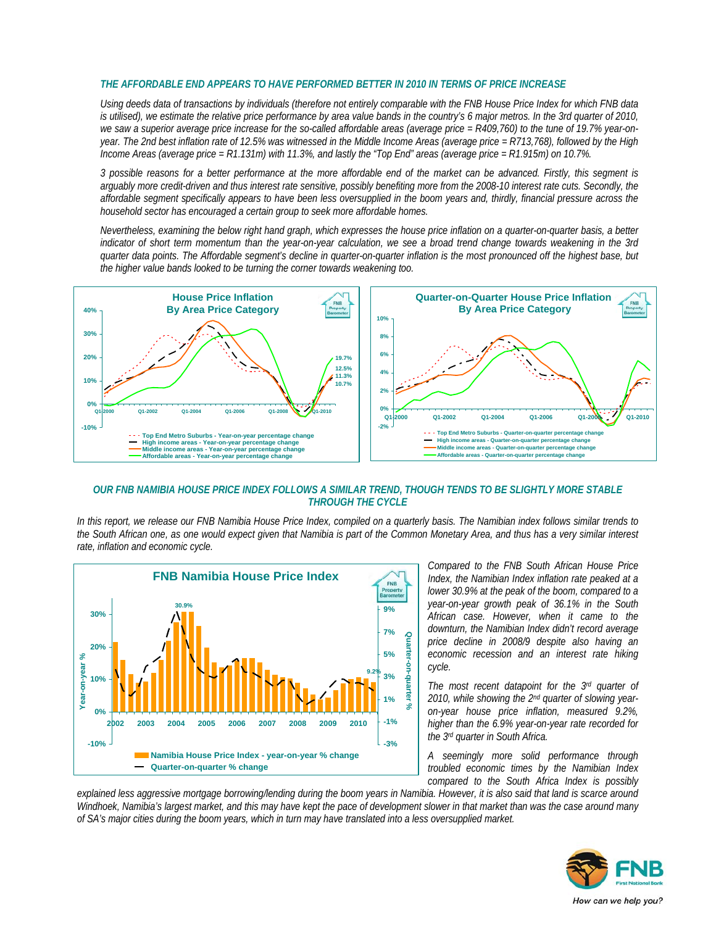#### *THE AFFORDABLE END APPEARS TO HAVE PERFORMED BETTER IN 2010 IN TERMS OF PRICE INCREASE*

*Using deeds data of transactions by individuals (therefore not entirely comparable with the FNB House Price Index for which FNB data is utilised), we estimate the relative price performance by area value bands in the country's 6 major metros. In the 3rd quarter of 2010, we saw a superior average price increase for the so-called affordable areas (average price = R409,760) to the tune of 19.7% year-onyear. The 2nd best inflation rate of 12.5% was witnessed in the Middle Income Areas (average price = R713,768), followed by the High Income Areas (average price = R1.131m) with 11.3%, and lastly the "Top End" areas (average price = R1.915m) on 10.7%.* 

*3 possible reasons for a better performance at the more affordable end of the market can be advanced. Firstly, this segment is*  arguably more credit-driven and thus interest rate sensitive, possibly benefiting more from the 2008-10 interest rate cuts. Secondly, the *affordable segment specifically appears to have been less oversupplied in the boom years and, thirdly, financial pressure across the household sector has encouraged a certain group to seek more affordable homes.* 

*Nevertheless, examining the below right hand graph, which expresses the house price inflation on a quarter-on-quarter basis, a better indicator of short term momentum than the year-on-year calculation, we see a broad trend change towards weakening in the 3rd quarter data points. The Affordable segment's decline in quarter-on-quarter inflation is the most pronounced off the highest base, but the higher value bands looked to be turning the corner towards weakening too.* 



#### *OUR FNB NAMIBIA HOUSE PRICE INDEX FOLLOWS A SIMILAR TREND, THOUGH TENDS TO BE SLIGHTLY MORE STABLE THROUGH THE CYCLE*

*In this report, we release our FNB Namibia House Price Index, compiled on a quarterly basis. The Namibian index follows similar trends to the South African one, as one would expect given that Namibia is part of the Common Monetary Area, and thus has a very similar interest rate, inflation and economic cycle.* 



*Compared to the FNB South African House Price Index, the Namibian Index inflation rate peaked at a lower 30.9% at the peak of the boom, compared to a year-on-year growth peak of 36.1% in the South African case. However, when it came to the downturn, the Namibian Index didn't record average price decline in 2008/9 despite also having an economic recession and an interest rate hiking cycle.* 

*The most recent datapoint for the 3rd quarter of 2010, while showing the 2nd quarter of slowing yearon-year house price inflation, measured 9.2%, higher than the 6.9% year-on-year rate recorded for the 3rd quarter in South Africa.* 

*A seemingly more solid performance through troubled economic times by the Namibian Index compared to the South Africa Index is possibly* 

*explained less aggressive mortgage borrowing/lending during the boom years in Namibia. However, it is also said that land is scarce around Windhoek, Namibia's largest market, and this may have kept the pace of development slower in that market than was the case around many of SA's major cities during the boom years, which in turn may have translated into a less oversupplied market.* 

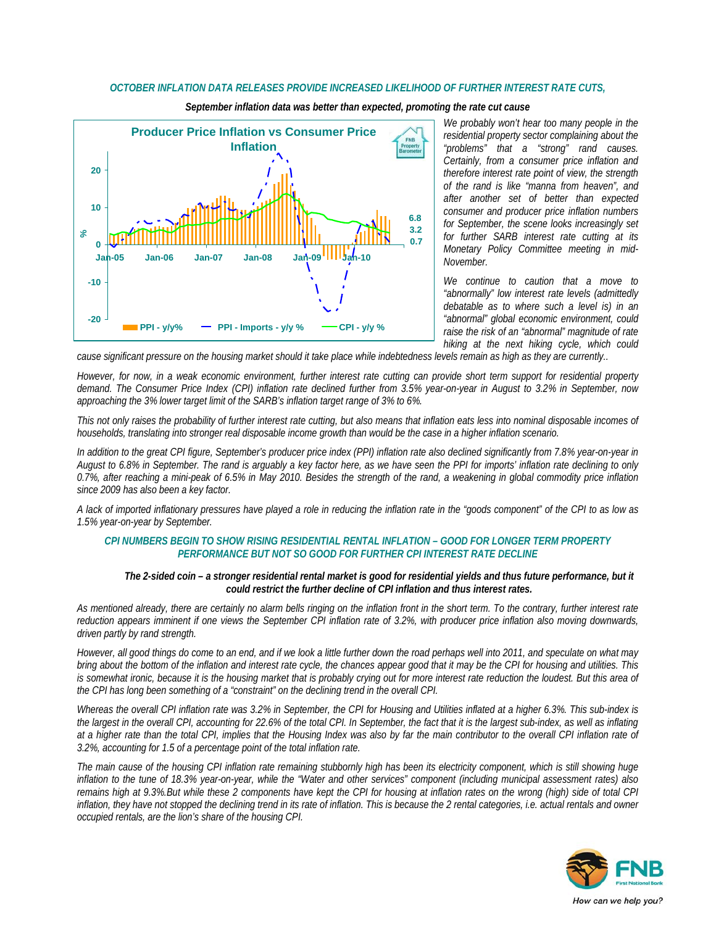#### *OCTOBER INFLATION DATA RELEASES PROVIDE INCREASED LIKELIHOOD OF FURTHER INTEREST RATE CUTS,*



*September inflation data was better than expected, promoting the rate cut cause* 

*We probably won't hear too many people in the residential property sector complaining about the "problems" that a "strong" rand causes. Certainly, from a consumer price inflation and therefore interest rate point of view, the strength of the rand is like "manna from heaven", and after another set of better than expected consumer and producer price inflation numbers for September, the scene looks increasingly set for further SARB interest rate cutting at its Monetary Policy Committee meeting in mid-November.* 

*We continue to caution that a move to "abnormally" low interest rate levels (admittedly debatable as to where such a level is) in an "abnormal" global economic environment, could raise the risk of an "abnormal" magnitude of rate hiking at the next hiking cycle, which could* 

*cause significant pressure on the housing market should it take place while indebtedness levels remain as high as they are currently..* 

*However, for now, in a weak economic environment, further interest rate cutting can provide short term support for residential property demand. The Consumer Price Index (CPI) inflation rate declined further from 3.5% year-on-year in August to 3.2% in September, now approaching the 3% lower target limit of the SARB's inflation target range of 3% to 6%.* 

*This not only raises the probability of further interest rate cutting, but also means that inflation eats less into nominal disposable incomes of households, translating into stronger real disposable income growth than would be the case in a higher inflation scenario.* 

*In addition to the great CPI figure, September's producer price index (PPI) inflation rate also declined significantly from 7.8% year-on-year in August to 6.8% in September. The rand is arguably a key factor here, as we have seen the PPI for imports' inflation rate declining to only 0.7%, after reaching a mini-peak of 6.5% in May 2010. Besides the strength of the rand, a weakening in global commodity price inflation since 2009 has also been a key factor.* 

*A lack of imported inflationary pressures have played a role in reducing the inflation rate in the "goods component" of the CPI to as low as 1.5% year-on-year by September.* 

#### *CPI NUMBERS BEGIN TO SHOW RISING RESIDENTIAL RENTAL INFLATION – GOOD FOR LONGER TERM PROPERTY PERFORMANCE BUT NOT SO GOOD FOR FURTHER CPI INTEREST RATE DECLINE*

#### *The 2-sided coin – a stronger residential rental market is good for residential yields and thus future performance, but it could restrict the further decline of CPI inflation and thus interest rates.*

*As mentioned already, there are certainly no alarm bells ringing on the inflation front in the short term. To the contrary, further interest rate reduction appears imminent if one views the September CPI inflation rate of 3.2%, with producer price inflation also moving downwards, driven partly by rand strength.* 

*However, all good things do come to an end, and if we look a little further down the road perhaps well into 2011, and speculate on what may bring about the bottom of the inflation and interest rate cycle, the chances appear good that it may be the CPI for housing and utilities. This is somewhat ironic, because it is the housing market that is probably crying out for more interest rate reduction the loudest. But this area of the CPI has long been something of a "constraint" on the declining trend in the overall CPI.* 

*Whereas the overall CPI inflation rate was 3.2% in September, the CPI for Housing and Utilities inflated at a higher 6.3%. This sub-index is the largest in the overall CPI, accounting for 22.6% of the total CPI. In September, the fact that it is the largest sub-index, as well as inflating at a higher rate than the total CPI, implies that the Housing Index was also by far the main contributor to the overall CPI inflation rate of 3.2%, accounting for 1.5 of a percentage point of the total inflation rate.* 

*The main cause of the housing CPI inflation rate remaining stubbornly high has been its electricity component, which is still showing huge inflation to the tune of 18.3% year-on-year, while the "Water and other services" component (including municipal assessment rates) also remains high at 9.3%.But while these 2 components have kept the CPI for housing at inflation rates on the wrong (high) side of total CPI*  inflation, they have not stopped the declining trend in its rate of inflation. This is because the 2 rental categories, i.e. actual rentals and owner *occupied rentals, are the lion's share of the housing CPI.* 

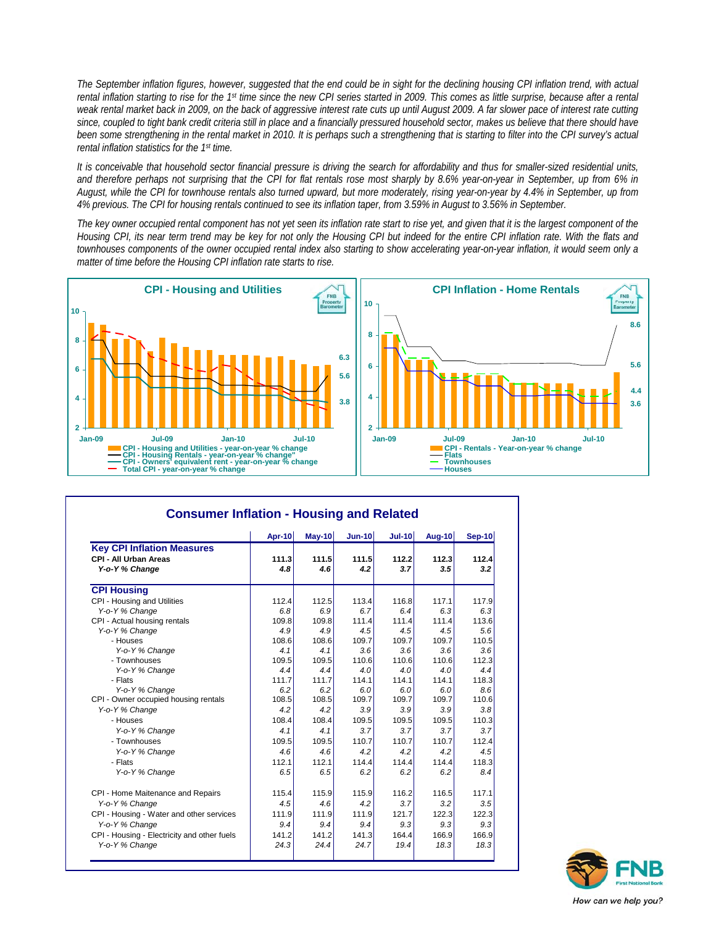*The September inflation figures, however, suggested that the end could be in sight for the declining housing CPI inflation trend, with actual rental inflation starting to rise for the 1st time since the new CPI series started in 2009. This comes as little surprise, because after a rental weak rental market back in 2009, on the back of aggressive interest rate cuts up until August 2009. A far slower pace of interest rate cutting*  since, coupled to tight bank credit criteria still in place and a financially pressured household sector, makes us believe that there should have *been some strengthening in the rental market in 2010. It is perhaps such a strengthening that is starting to filter into the CPI survey's actual rental inflation statistics for the 1st time.* 

*It is conceivable that household sector financial pressure is driving the search for affordability and thus for smaller-sized residential units,*  and therefore perhaps not surprising that the CPI for flat rentals rose most sharply by 8.6% year-on-year in September, up from 6% in *August, while the CPI for townhouse rentals also turned upward, but more moderately, rising year-on-year by 4.4% in September, up from 4% previous. The CPI for housing rentals continued to see its inflation taper, from 3.59% in August to 3.56% in September.* 

*The key owner occupied rental component has not yet seen its inflation rate start to rise yet, and given that it is the largest component of the Housing CPI, its near term trend may be key for not only the Housing CPI but indeed for the entire CPI inflation rate. With the flats and townhouses components of the owner occupied rental index also starting to show accelerating year-on-year inflation, it would seem only a matter of time before the Housing CPI inflation rate starts to rise.* 



|                                                                              | <b>Apr-10</b> | $May-10$     | Jun-10       | <b>Jul-10</b> | <b>Aug-10</b> | Sep-10       |  |
|------------------------------------------------------------------------------|---------------|--------------|--------------|---------------|---------------|--------------|--|
| <b>Key CPI Inflation Measures</b><br>CPI - All Urban Areas<br>Y-o-Y % Change | 111.3<br>4.8  | 111.5<br>4.6 | 111.5<br>4.2 | 112.2<br>3.7  | 112.3<br>3.5  | 112.4<br>3.2 |  |
| <b>CPI Housing</b>                                                           |               |              |              |               |               |              |  |
| CPI - Housing and Utilities                                                  | 112.4         | 112.5        | 113.4        | 116.8         | 117.1         | 117.9        |  |
| Y-o-Y % Change                                                               | 6.8           | 6.9          | 6.7          | 6.4           | 6.3           | 6.3          |  |
| CPI - Actual housing rentals                                                 | 109.8         | 109.8        | 111.4        | 111.4         | 111.4         | 113.6        |  |
| Y-o-Y % Change                                                               | 4.9           | 4.9          | 4.5          | 4.5           | 4.5           | 5.6          |  |
| - Houses                                                                     | 108.6         | 108.6        | 109.7        | 109.7         | 109.7         | 110.5        |  |
| Y-o-Y % Change                                                               | 4.1           | 4.1          | 3.6          | 3.6           | 3.6           | 3.6          |  |
| - Townhouses                                                                 | 109.5         | 109.5        | 110.6        | 110.6         | 110.6         | 112.3        |  |
| Y-o-Y % Change                                                               | 4.4           | 4.4          | 4.0          | 4.0           | 4.0           | 4.4          |  |
| - Flats                                                                      | 111.7         | 111.7        | 114.1        | 114.1         | 114.1         | 118.3        |  |
| Y-o-Y % Change                                                               | 6.2           | 6.2          | 6.0          | 6.0           | 6.0           | 8.6          |  |
| CPI - Owner occupied housing rentals                                         | 108.5         | 108.5        | 109.7        | 109.7         | 109.7         | 110.6        |  |
| Y-o-Y % Change                                                               | 4.2           | 4.2          | 3.9          | 3.9           | 3.9           | 3.8          |  |
| - Houses                                                                     | 108.4         | 108.4        | 109.5        | 109.5         | 109.5         | 110.3        |  |
| Y-o-Y % Change                                                               | 4.1           | 4.1          | 3.7          | 3.7           | 3.7           | 3.7          |  |
| - Townhouses                                                                 | 109.5         | 109.5        | 110.7        | 110.7         | 110.7         | 112.4        |  |
| Y-o-Y % Change                                                               | 4.6           | 4.6          | 4.2          | 4.2           | 4.2           | 4.5          |  |
| - Flats                                                                      | 112.1         | 112.1        | 114.4        | 114.4         | 114.4         | 118.3        |  |
| Y-o-Y % Change                                                               | 6.5           | 6.5          | 6.2          | 6.2           | 6.2           | 8.4          |  |
| CPI - Home Maitenance and Repairs                                            | 115.4         | 115.9        | 115.9        | 116.2         | 116.5         | 117.1        |  |
| Y-o-Y % Change                                                               | 4.5           | 4.6          | 4.2          | 3.7           | 3.2           | 3.5          |  |
| CPI - Housing - Water and other services                                     | 111.9         | 111.9        | 111.9        | 121.7         | 122.3         | 122.3        |  |
| Y-o-Y % Change                                                               | 9.4           | 9.4          | 9.4          | 9.3           | 9.3           | 9.3          |  |
| CPI - Housing - Electricity and other fuels                                  | 141.2         | 141.2        | 141.3        | 164.4         | 166.9         | 166.9        |  |
| Y-o-Y % Change                                                               | 24.3          | 24.4         | 24.7         | 19.4          | 18.3          | 18.3         |  |

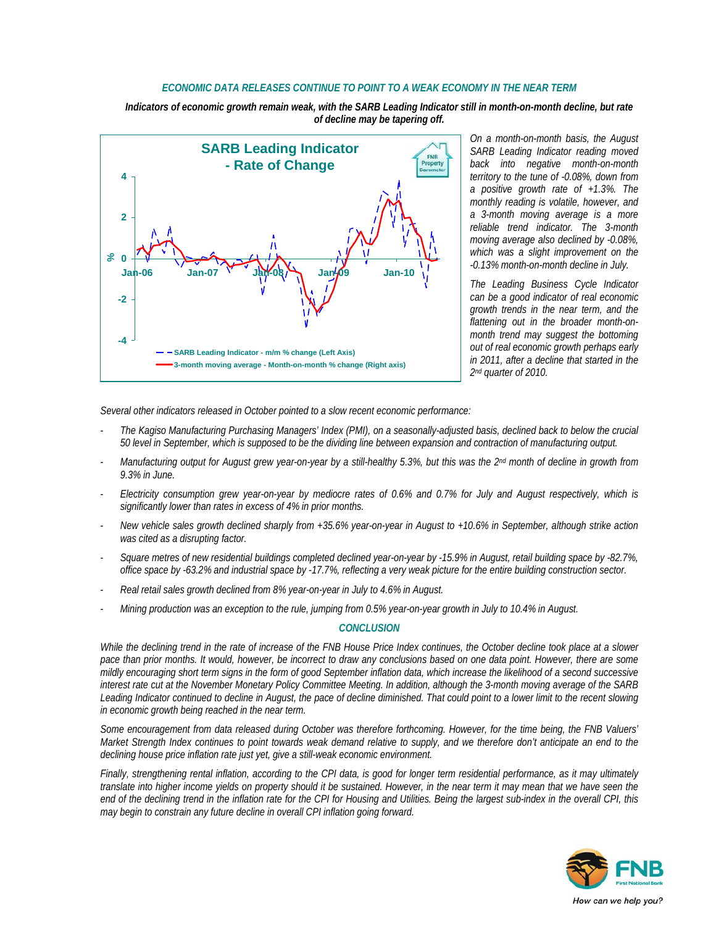#### *ECONOMIC DATA RELEASES CONTINUE TO POINT TO A WEAK ECONOMY IN THE NEAR TERM*

*Indicators of economic growth remain weak, with the SARB Leading Indicator still in month-on-month decline, but rate of decline may be tapering off.* 



*On a month-on-month basis, the August SARB Leading Indicator reading moved back into negative month-on-month territory to the tune of -0.08%, down from a positive growth rate of +1.3%. The monthly reading is volatile, however, and a 3-month moving average is a more reliable trend indicator. The 3-month moving average also declined by -0.08%, which was a slight improvement on the -0.13% month-on-month decline in July.* 

*The Leading Business Cycle Indicator can be a good indicator of real economic growth trends in the near term, and the flattening out in the broader month-onmonth trend may suggest the bottoming out of real economic growth perhaps early in 2011, after a decline that started in the 2nd quarter of 2010.* 

*Several other indicators released in October pointed to a slow recent economic performance:* 

- *The Kagiso Manufacturing Purchasing Managers' Index (PMI), on a seasonally-adjusted basis, declined back to below the crucial 50 level in September, which is supposed to be the dividing line between expansion and contraction of manufacturing output.*
- *Manufacturing output for August grew year-on-year by a still-healthy 5.3%, but this was the 2nd month of decline in growth from 9.3% in June.*
- *Electricity consumption grew year-on-year by mediocre rates of 0.6% and 0.7% for July and August respectively, which is significantly lower than rates in excess of 4% in prior months.*
- *New vehicle sales growth declined sharply from +35.6% year-on-year in August to +10.6% in September, although strike action was cited as a disrupting factor.*
- *Square metres of new residential buildings completed declined year-on-year by -15.9% in August, retail building space by -82.7%, office space by -63.2% and industrial space by -17.7%, reflecting a very weak picture for the entire building construction sector.*
- *Real retail sales growth declined from 8% year-on-year in July to 4.6% in August.*
- *Mining production was an exception to the rule, jumping from 0.5% year-on-year growth in July to 10.4% in August.*

#### *CONCLUSION*

*While the declining trend in the rate of increase of the FNB House Price Index continues, the October decline took place at a slower pace than prior months. It would, however, be incorrect to draw any conclusions based on one data point. However, there are some mildly encouraging short term signs in the form of good September inflation data, which increase the likelihood of a second successive interest rate cut at the November Monetary Policy Committee Meeting. In addition, although the 3-month moving average of the SARB*  Leading Indicator continued to decline in August, the pace of decline diminished. That could point to a lower limit to the recent slowing *in economic growth being reached in the near term.* 

*Some encouragement from data released during October was therefore forthcoming. However, for the time being, the FNB Valuers' Market Strength Index continues to point towards weak demand relative to supply, and we therefore don't anticipate an end to the declining house price inflation rate just yet, give a still-weak economic environment.* 

*Finally, strengthening rental inflation, according to the CPI data, is good for longer term residential performance, as it may ultimately translate into higher income yields on property should it be sustained. However, in the near term it may mean that we have seen the end of the declining trend in the inflation rate for the CPI for Housing and Utilities. Being the largest sub-index in the overall CPI, this may begin to constrain any future decline in overall CPI inflation going forward.* 

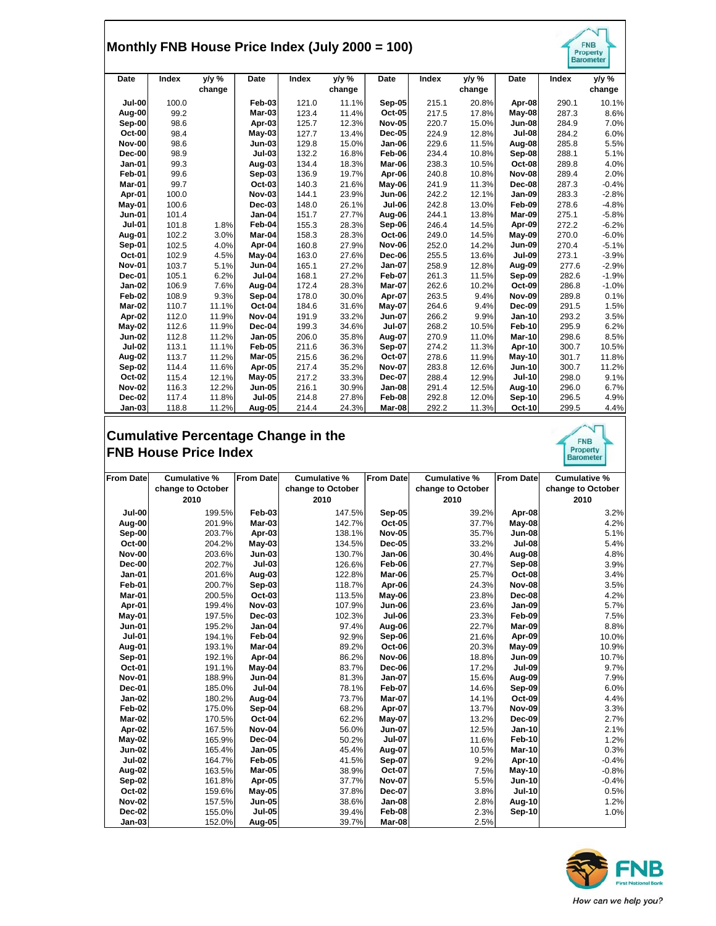## **Monthly FNB House Price Index (July 2000 = 100)**

|               |       | Monthly FNB House Price Index (July 2000 = 100) |               |       |                    |               |       |                 |               |       | <b>FNB</b><br>Property<br><b>Barometer</b> |
|---------------|-------|-------------------------------------------------|---------------|-------|--------------------|---------------|-------|-----------------|---------------|-------|--------------------------------------------|
| Date          | Index | y/y %<br>change                                 | Date          | Index | $y/y \%$<br>change | Date          | Index | y/y %<br>change | Date          | Index | y/y %<br>change                            |
| <b>Jul-00</b> | 100.0 |                                                 | Feb-03        | 121.0 | 11.1%              | Sep-05        | 215.1 | 20.8%           | Apr-08        | 290.1 | 10.1%                                      |
| Aug-00        | 99.2  |                                                 | Mar-03        | 123.4 | 11.4%              | Oct-05        | 217.5 | 17.8%           | May-08        | 287.3 | 8.6%                                       |
| Sep-00        | 98.6  |                                                 | Apr-03        | 125.7 | 12.3%              | <b>Nov-05</b> | 220.7 | 15.0%           | <b>Jun-08</b> | 284.9 | 7.0%                                       |
| Oct-00        | 98.4  |                                                 | May-03        | 127.7 | 13.4%              | <b>Dec-05</b> | 224.9 | 12.8%           | <b>Jul-08</b> | 284.2 | 6.0%                                       |
| <b>Nov-00</b> | 98.6  |                                                 | <b>Jun-03</b> | 129.8 | 15.0%              | Jan-06        | 229.6 | 11.5%           | Aug-08        | 285.8 | 5.5%                                       |
| Dec-00        | 98.9  |                                                 | <b>Jul-03</b> | 132.2 | 16.8%              | Feb-06        | 234.4 | 10.8%           | Sep-08        | 288.1 | 5.1%                                       |
| <b>Jan-01</b> | 99.3  |                                                 | Aug-03        | 134.4 | 18.3%              | Mar-06        | 238.3 | 10.5%           | Oct-08        | 289.8 | 4.0%                                       |
| Feb-01        | 99.6  |                                                 | Sep-03        | 136.9 | 19.7%              | Apr-06        | 240.8 | 10.8%           | <b>Nov-08</b> | 289.4 | 2.0%                                       |
| Mar-01        | 99.7  |                                                 | Oct-03        | 140.3 | 21.6%              | May-06        | 241.9 | 11.3%           | Dec-08        | 287.3 | $-0.4%$                                    |
| Apr-01        | 100.0 |                                                 | <b>Nov-03</b> | 144.1 | 23.9%              | <b>Jun-06</b> | 242.2 | 12.1%           | Jan-09        | 283.3 | $-2.8%$                                    |
| May-01        | 100.6 |                                                 | Dec-03        | 148.0 | 26.1%              | <b>Jul-06</b> | 242.8 | 13.0%           | Feb-09        | 278.6 | $-4.8%$                                    |
| <b>Jun-01</b> | 101.4 |                                                 | Jan-04        | 151.7 | 27.7%              | Aug-06        | 244.1 | 13.8%           | Mar-09        | 275.1 | $-5.8%$                                    |
| <b>Jul-01</b> | 101.8 | 1.8%                                            | Feb-04        | 155.3 | 28.3%              | Sep-06        | 246.4 | 14.5%           | Apr-09        | 272.2 | $-6.2%$                                    |
| Aug-01        | 102.2 | 3.0%                                            | Mar-04        | 158.3 | 28.3%              | Oct-06        | 249.0 | 14.5%           | May-09        | 270.0 | $-6.0%$                                    |
| Sep-01        | 102.5 | 4.0%                                            | Apr-04        | 160.8 | 27.9%              | <b>Nov-06</b> | 252.0 | 14.2%           | <b>Jun-09</b> | 270.4 | $-5.1%$                                    |
| Oct-01        | 102.9 | 4.5%                                            | May-04        | 163.0 | 27.6%              | Dec-06        | 255.5 | 13.6%           | <b>Jul-09</b> | 273.1 | $-3.9%$                                    |
| <b>Nov-01</b> | 103.7 | 5.1%                                            | <b>Jun-04</b> | 165.1 | 27.2%              | <b>Jan-07</b> | 258.9 | 12.8%           | Aug-09        | 277.6 | $-2.9%$                                    |
| Dec-01        | 105.1 | 6.2%                                            | <b>Jul-04</b> | 168.1 | 27.2%              | Feb-07        | 261.3 | 11.5%           | Sep-09        | 282.6 | $-1.9%$                                    |
| Jan-02        | 106.9 | 7.6%                                            | Aug-04        | 172.4 | 28.3%              | Mar-07        | 262.6 | 10.2%           | Oct-09        | 286.8 | $-1.0%$                                    |
| Feb-02        | 108.9 | 9.3%                                            | Sep-04        | 178.0 | 30.0%              | Apr-07        | 263.5 | 9.4%            | <b>Nov-09</b> | 289.8 | 0.1%                                       |
| Mar-02        | 110.7 | 11.1%                                           | Oct-04        | 184.6 | 31.6%              | $M$ ay-07     | 264.6 | 9.4%            | Dec-09        | 291.5 | 1.5%                                       |
| Apr-02        | 112.0 | 11.9%                                           | <b>Nov-04</b> | 191.9 | 33.2%              | <b>Jun-07</b> | 266.2 | 9.9%            | <b>Jan-10</b> | 293.2 | 3.5%                                       |
| May-02        | 112.6 | 11.9%                                           | Dec-04        | 199.3 | 34.6%              | <b>Jul-07</b> | 268.2 | 10.5%           | Feb-10        | 295.9 | 6.2%                                       |
| <b>Jun-02</b> | 112.8 | 11.2%                                           | Jan-05        | 206.0 | 35.8%              | Aug-07        | 270.9 | 11.0%           | Mar-10        | 298.6 | 8.5%                                       |
| <b>Jul-02</b> | 113.1 | 11.1%                                           | Feb-05        | 211.6 | 36.3%              | Sep-07        | 274.2 | 11.3%           | Apr-10        | 300.7 | 10.5%                                      |
| <b>Aug-02</b> | 113.7 | 11.2%                                           | Mar-05        | 215.6 | 36.2%              | Oct-07        | 278.6 | 11.9%           | May-10        | 301.7 | 11.8%                                      |
| Sep-02        | 114.4 | 11.6%                                           | Apr-05        | 217.4 | 35.2%              | <b>Nov-07</b> | 283.8 | 12.6%           | <b>Jun-10</b> | 300.7 | 11.2%                                      |
| Oct-02        | 115.4 | 12.1%                                           | <b>May-05</b> | 217.2 | 33.3%              | Dec-07        | 288.4 | 12.9%           | <b>Jul-10</b> | 298.0 | 9.1%                                       |
| <b>Nov-02</b> | 116.3 | 12.2%                                           | <b>Jun-05</b> | 216.1 | 30.9%              | Jan-08        | 291.4 | 12.5%           | Aug-10        | 296.0 | 6.7%                                       |
| Dec-02        | 117.4 | 11.8%                                           | <b>Jul-05</b> | 214.8 | 27.8%              | Feb-08        | 292.8 | 12.0%           | Sep-10        | 296.5 | 4.9%                                       |
| Jan-03        | 118.8 | 11.2%                                           | Aug-05        | 214.4 | 24.3%              | Mar-08        | 292.2 | 11.3%           | Oct-10        | 299.5 | 4.4%                                       |

### **Cumulative Percentage Change in the FNB House Price Index**

| <b>From Datel</b> | Cumulative %      | <b>From Date</b> | Cumulative %      | <b>From Date</b> | Cumulative %      | <b>From Datel</b> | Cumulative %      |
|-------------------|-------------------|------------------|-------------------|------------------|-------------------|-------------------|-------------------|
|                   | change to October |                  | change to October |                  | change to October |                   | change to October |
|                   | 2010              |                  | 2010              |                  | 2010              |                   | 2010              |
| Jul-00            | 199.5%            | Feb-03           | 147.5%            | Sep-05           | 39.2%             | Apr-08            | 3.2%              |
| Aug-00            | 201.9%            | $Mar-03$         | 142.7%            | $Oct-05$         | 37.7%             | May-08            | 4.2%              |
| Sep-00            | 203.7%            | Apr-03           | 138.1%            | <b>Nov-05</b>    | 35.7%             | <b>Jun-08</b>     | 5.1%              |
| Oct-00            | 204.2%            | $May-03$         | 134.5%            | $Dec-05$         | 33.2%             | <b>Jul-08</b>     | 5.4%              |
| <b>Nov-00</b>     | 203.6%            | $Jun-03$         | 130.7%            | Jan-06           | 30.4%             | Aug-08            | 4.8%              |
| Dec-00            | 202.7%            | <b>Jul-03</b>    | 126.6%            | Feb-06           | 27.7%             | Sep-08            | 3.9%              |
| Jan-01            | 201.6%            | Aug-03           | 122.8%            | Mar-06           | 25.7%             | Oct-08            | 3.4%              |
| Feb-01            | 200.7%            | Sep-03           | 118.7%            | Apr-06           | 24.3%             | <b>Nov-08</b>     | 3.5%              |
| Mar-01            | 200.5%            | Oct-03           | 113.5%            | May-06           | 23.8%             | Dec-08            | 4.2%              |
| Apr-01            | 199.4%            | <b>Nov-03</b>    | 107.9%            | Jun-06           | 23.6%             | $Jan-09$          | 5.7%              |
| May-01            | 197.5%            | <b>Dec-03</b>    | 102.3%            | Jul-06           | 23.3%             | Feb-09            | 7.5%              |
| <b>Jun-01</b>     | 195.2%            | $Jan-04$         | 97.4%             | Aug-06           | 22.7%             | Mar-09            | 8.8%              |
| <b>Jul-01</b>     | 194.1%            | Feb-04           | 92.9%             | Sep-06           | 21.6%             | Apr-09            | 10.0%             |
| Aug-01            | 193.1%            | Mar-04           | 89.2%             | Oct-06           | 20.3%             | May-09            | 10.9%             |
| Sep-01            | 192.1%            | Apr-04           | 86.2%             | <b>Nov-06</b>    | 18.8%             | <b>Jun-09</b>     | 10.7%             |
| <b>Oct-01</b>     | 191.1%            | May-04           | 83.7%             | Dec-06           | 17.2%             | <b>Jul-09</b>     | 9.7%              |
| <b>Nov-01</b>     | 188.9%            | $Jun-04$         | 81.3%             | $Jan-07$         | 15.6%             | Aug-09            | 7.9%              |
| <b>Dec-01</b>     | 185.0%            | <b>Jul-04</b>    | 78.1%             | Feb-07           | 14.6%             | Sep-09            | 6.0%              |
| Jan-02            | 180.2%            | Aug-04           | 73.7%             | Mar-07           | 14.1%             | Oct-09            | 4.4%              |
| Feb-02            | 175.0%            | Sep-04           | 68.2%             | Apr-07           | 13.7%             | <b>Nov-09</b>     | 3.3%              |
| Mar-02            | 170.5%            | Oct-04           | 62.2%             | May-07           | 13.2%             | Dec-09            | 2.7%              |
| Apr-02            | 167.5%            | Nov-04           | 56.0%             | <b>Jun-07</b>    | 12.5%             | $Jan-10$          | 2.1%              |
| $May-02$          | 165.9%            | Dec-04           | 50.2%             | <b>Jul-07</b>    | 11.6%             | Feb-10            | 1.2%              |
| <b>Jun-02</b>     | 165.4%            | <b>Jan-05</b>    | 45.4%             | <b>Aug-07</b>    | 10.5%             | Mar-10            | 0.3%              |
| Jul-02            | 164.7%            | <b>Feb-05</b>    | 41.5%             | <b>Sep-07</b>    | 9.2%              | Apr-10            | $-0.4%$           |
| Aug-02            | 163.5%            | Mar-05           | 38.9%             | Oct-07           | 7.5%              | $May-10$          | $-0.8%$           |
| Sep-02            | 161.8%            | Apr-05           | 37.7%             | <b>Nov-07</b>    | 5.5%              | <b>Jun-10</b>     | $-0.4%$           |
| Oct-02            | 159.6%            | May-05           | 37.8%             | <b>Dec-07</b>    | 3.8%              | <b>Jul-10</b>     | 0.5%              |
| <b>Nov-02</b>     | 157.5%            | <b>Jun-05</b>    | 38.6%             | Jan-08           | 2.8%              | Aug-10            | 1.2%              |
| Dec-02            | 155.0%            | <b>Jul-05</b>    | 39.4%             | Feb-08           | 2.3%              | Sep-10            | 1.0%              |
| Jan-03            | 152.0%            | Aug-05           | 39.7%             | Mar-08           | 2.5%              |                   |                   |



FNB<br>Property<br>Barometer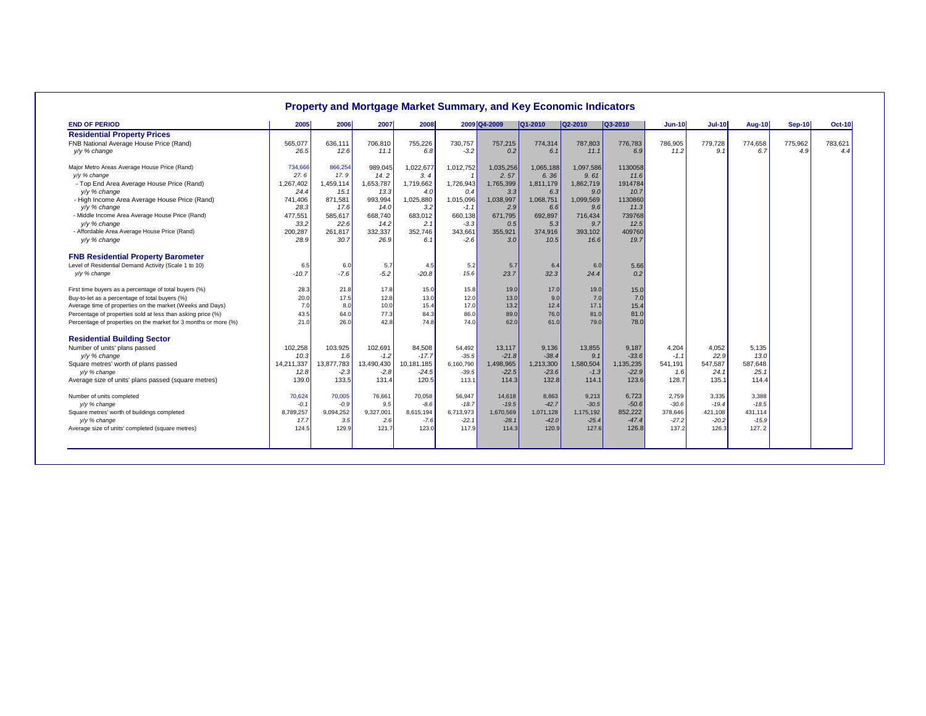| <b>END OF PERIOD</b>                                            | 2005       | 2006       | 2007       | 2008       |           | 2009 Q4-2009 | $Q1-2010$ | Q2-2010   | $Q3-2010$ | Jun-10  | <b>Jul-10</b> | <b>Aug-10</b> | <b>Sep-10</b> | <b>Oct-10</b> |
|-----------------------------------------------------------------|------------|------------|------------|------------|-----------|--------------|-----------|-----------|-----------|---------|---------------|---------------|---------------|---------------|
| <b>Residential Property Prices</b>                              |            |            |            |            |           |              |           |           |           |         |               |               |               |               |
| FNB National Average House Price (Rand)                         | 565,077    | 636,111    | 706,810    | 755,226    | 730,757   | 757,215      | 774,314   | 787,803   | 776,783   | 786,905 | 779,728       | 774,658       | 775,962       | 783,621       |
| v/y % change                                                    | 26.5       | 12.6       | 11.1       | 6.8        | $-3.2$    | 0.2          | 6.1       | 11.1      | 6.9       | 11.2    | 9.1           | 6.7           | 4.9           | 4.4           |
| Major Metro Areas Average House Price (Rand)                    | 734,666    | 866,254    | 989,045    | 1,022,677  | 1,012,752 | 1,035,256    | 1,065,188 | 1,097,586 | 1130058   |         |               |               |               |               |
| y/y % change                                                    | 27.6       | 17.9       | 14.2       | 3.4        |           | 2.57         | 6.36      | 9.61      | 11.6      |         |               |               |               |               |
| - Top End Area Average House Price (Rand)                       | 1,267,402  | 1,459,114  | 1,653,787  | 1,719,662  | 1,726,943 | 1,765,399    | 1,811,179 | 1,862,719 | 1914784   |         |               |               |               |               |
| y/y % change                                                    | 24.4       | 15.1       | 13.3       | 4.0        | 0.4       | 3.3          | 6.3       | 9.0       | 10.7      |         |               |               |               |               |
| - High Income Area Average House Price (Rand)                   | 741,406    | 871,581    | 993,994    | 1,025,880  | 1,015,096 | 1,038,997    | 1,068,751 | 1,099,569 | 1130860   |         |               |               |               |               |
| y/y % change                                                    | 28.3       | 17.6       | 14.0       | 3.2        | $-1.1$    | 2.9          | 6.6       | 9.6       | 11.3      |         |               |               |               |               |
| - Middle Income Area Average House Price (Rand)                 | 477,551    | 585,617    | 668,740    | 683,012    | 660,138   | 671,795      | 692,897   | 716,434   | 739768    |         |               |               |               |               |
| y/y % change                                                    | 33.2       | 22.6       | 14.2       | 2.1        | $-3.3$    | 0.5          | 5.3       | 9.7       | 12.5      |         |               |               |               |               |
| - Affordable Area Average House Price (Rand)                    | 200,287    | 261,817    | 332,337    | 352,746    | 343,661   | 355,921      | 374,916   | 393,102   | 409760    |         |               |               |               |               |
| y/y % change                                                    | 28.9       | 30.7       | 26.9       | 6.1        | $-2.6$    | 3.0          | 10.5      | 16.6      | 19.7      |         |               |               |               |               |
| <b>FNB Residential Property Barometer</b>                       |            |            |            |            |           |              |           |           |           |         |               |               |               |               |
| Level of Residential Demand Activity (Scale 1 to 10)            | 6.5        | 6.0        | 5.7        | 4.5        | 5.2       | 5.7          | 6.4       | 6.0       | 5.66      |         |               |               |               |               |
| y/y % change                                                    | $-10.7$    | $-7.6$     | $-5.2$     | $-20.8$    | 15.6      | 23.7         | 32.3      | 24.4      | 0.2       |         |               |               |               |               |
| First time buyers as a percentage of total buyers (%)           | 28.3       | 21.8       | 17.8       | 15.0       | 15.8      | 19.0         | 17.0      | 19.0      | 15.0      |         |               |               |               |               |
| Buy-to-let as a percentage of total buyers (%)                  | 20.0       | 17.5       | 12.8       | 13.0       | 12.0      | 13.0         | 9.0       | 7.0       | 7.0       |         |               |               |               |               |
| Average time of properties on the market (Weeks and Days)       | 7.0        | 8.0        | 10.0       | 15.4       | 17.0      | 13.2         | 12.4      | 17.1      | 15.4      |         |               |               |               |               |
| Percentage of properties sold at less than asking price (%)     | 43.5       | 64.0       | 77.3       | 84.3       | 86.0      | 89.0         | 76.0      | 81.0      | 81.0      |         |               |               |               |               |
| Percentage of properties on the market for 3 months or more (%) | 21.0       | 26.0       | 42.8       | 74.8       | 74.0      | 62.0         | 61.0      | 79.0      | 78.0      |         |               |               |               |               |
| <b>Residential Building Sector</b>                              |            |            |            |            |           |              |           |           |           |         |               |               |               |               |
| Number of units' plans passed                                   | 102,258    | 103,925    | 102,691    | 84,508     | 54,492    | 13,117       | 9,136     | 13,855    | 9,187     | 4,204   | 4,052         | 5,135         |               |               |
| y/y % change                                                    | 10.3       | 1.6        | $-1.2$     | $-17.7$    | $-35.5$   | $-21.8$      | $-38.4$   | 9.1       | $-33.6$   | $-1.1$  | 22.9          | 13.0          |               |               |
| Square metres' worth of plans passed                            | 14,211,337 | 13,877,783 | 13,490,430 | 10,181,185 | 6,160,790 | 1,498,965    | 1,213,300 | 1,580,504 | 1,135,235 | 541,191 | 547,587       | 587,648       |               |               |
| y/y % change                                                    | 12.8       | $-2.3$     | $-2.8$     | $-24.5$    | $-39.5$   | $-22.5$      | $-23.6$   | $-1.3$    | $-22.9$   | 1.6     | 24.1          | 25.1          |               |               |
| Average size of units' plans passed (square metres)             | 139.0      | 133.5      | 131.4      | 120.5      | 113.1     | 114.3        | 132.8     | 114.1     | 123.6     | 128.7   | 135.1         | 114.4         |               |               |
| Number of units completed                                       | 70,624     | 70,005     | 76.661     | 70,058     | 56.947    | 14,618       | 8.863     | 9.213     | 6,723     | 2.759   | 3.335         | 3.388         |               |               |
| v/y % change                                                    | $-0.1$     | $-0.9$     | 9.5        | $-8.6$     | $-18.7$   | $-19.5$      | $-42.7$   | $-30.5$   | $-50.6$   | $-30.6$ | $-19.4$       | $-18.5$       |               |               |
| Square metres' worth of buildings completed                     | 8,789,257  | 9,094,252  | 9,327,001  | 8,615,194  | 6,713,973 | 1,670,569    | 1,071,128 | 1,175,192 | 852,222   | 378,646 | 421,108       | 431,114       |               |               |
| y/y % change                                                    | 17.7       | 3.5        | 2.6        | $-7.6$     | $-22.1$   | $-28.1$      | $-42.0$   | $-25.4$   | $-47.4$   | $-27.2$ | $-20.2$       | $-15.9$       |               |               |
| Average size of units' completed (square metres)                | 124.5      | 129.9      | 121.7      | 123.0      | 117.9     | 114.3        | 120.9     | 127.6     | 126.8     | 137.2   | 126.3         | 127.2         |               |               |

### **Property and Mortgage Market Summary, and Key Economic Indicators**